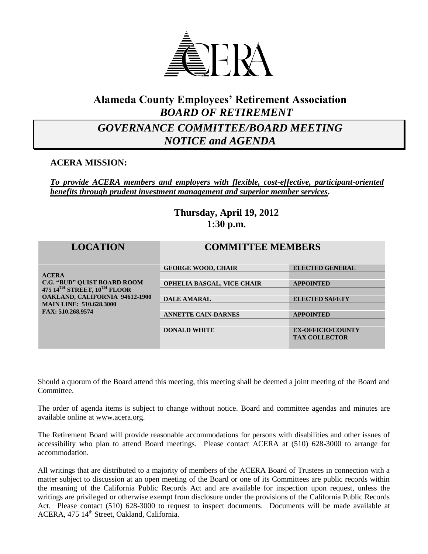

### **Alameda County Employees' Retirement Association** *BOARD OF RETIREMENT*

# *GOVERNANCE COMMITTEE/BOARD MEETING NOTICE and AGENDA*

### **ACERA MISSION:**

*To provide ACERA members and employers with flexible, cost-effective, participant-oriented benefits through prudent investment management and superior member services.*

### **Thursday, April 19, 2012 1:30 p.m.**

| <b>LOCATION</b>                                                                                                                                                                   | <b>COMMITTEE MEMBERS</b>          |                          |
|-----------------------------------------------------------------------------------------------------------------------------------------------------------------------------------|-----------------------------------|--------------------------|
| <b>ACERA</b><br><b>C.G. "BUD" QUIST BOARD ROOM</b><br>475 14TH STREET, 10TH FLOOR<br><b>OAKLAND, CALIFORNIA 94612-1900</b><br><b>MAIN LINE: 510.628.3000</b><br>FAX: 510.268.9574 | <b>GEORGE WOOD, CHAIR</b>         | <b>ELECTED GENERAL</b>   |
|                                                                                                                                                                                   | <b>OPHELIA BASGAL, VICE CHAIR</b> | <b>APPOINTED</b>         |
|                                                                                                                                                                                   | <b>DALE AMARAL</b>                | <b>ELECTED SAFETY</b>    |
|                                                                                                                                                                                   | <b>ANNETTE CAIN-DARNES</b>        | <b>APPOINTED</b>         |
|                                                                                                                                                                                   | <b>DONALD WHITE</b>               | <b>EX-OFFICIO/COUNTY</b> |
|                                                                                                                                                                                   |                                   | <b>TAX COLLECTOR</b>     |

Should a quorum of the Board attend this meeting, this meeting shall be deemed a joint meeting of the Board and **Committee** 

The order of agenda items is subject to change without notice. Board and committee agendas and minutes are available online at [www.acera.org.](http://www.acera.org/)

The Retirement Board will provide reasonable accommodations for persons with disabilities and other issues of accessibility who plan to attend Board meetings. Please contact ACERA at (510) 628-3000 to arrange for accommodation.

All writings that are distributed to a majority of members of the ACERA Board of Trustees in connection with a matter subject to discussion at an open meeting of the Board or one of its Committees are public records within the meaning of the California Public Records Act and are available for inspection upon request, unless the writings are privileged or otherwise exempt from disclosure under the provisions of the California Public Records Act. Please contact (510) 628-3000 to request to inspect documents. Documents will be made available at ACERA, 475 14<sup>th</sup> Street, Oakland, California.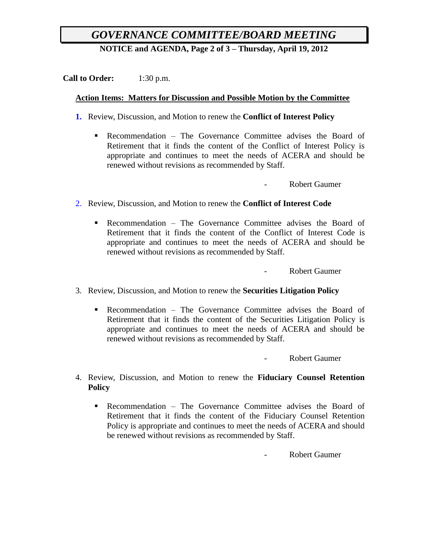## *GOVERNANCE COMMITTEE/BOARD MEETING*

**NOTICE and AGENDA, Page 2 of 3 – Thursday, April 19, 2012**

**Call to Order:** 1:30 p.m.

#### **Action Items: Matters for Discussion and Possible Motion by the Committee**

- **1.** Review, Discussion, and Motion to renew the **Conflict of Interest Policy**
	- Recommendation The Governance Committee advises the Board of Retirement that it finds the content of the Conflict of Interest Policy is appropriate and continues to meet the needs of ACERA and should be renewed without revisions as recommended by Staff.

Robert Gaumer

- 2. Review, Discussion, and Motion to renew the **Conflict of Interest Code**
	- Recommendation The Governance Committee advises the Board of Retirement that it finds the content of the Conflict of Interest Code is appropriate and continues to meet the needs of ACERA and should be renewed without revisions as recommended by Staff.

- Robert Gaumer

- 3. Review, Discussion, and Motion to renew the **Securities Litigation Policy**
	- Recommendation The Governance Committee advises the Board of Retirement that it finds the content of the Securities Litigation Policy is appropriate and continues to meet the needs of ACERA and should be renewed without revisions as recommended by Staff.

Robert Gaumer

- 4. Review, Discussion, and Motion to renew the **Fiduciary Counsel Retention Policy**
	- Recommendation The Governance Committee advises the Board of Retirement that it finds the content of the Fiduciary Counsel Retention Policy is appropriate and continues to meet the needs of ACERA and should be renewed without revisions as recommended by Staff.

- Robert Gaumer